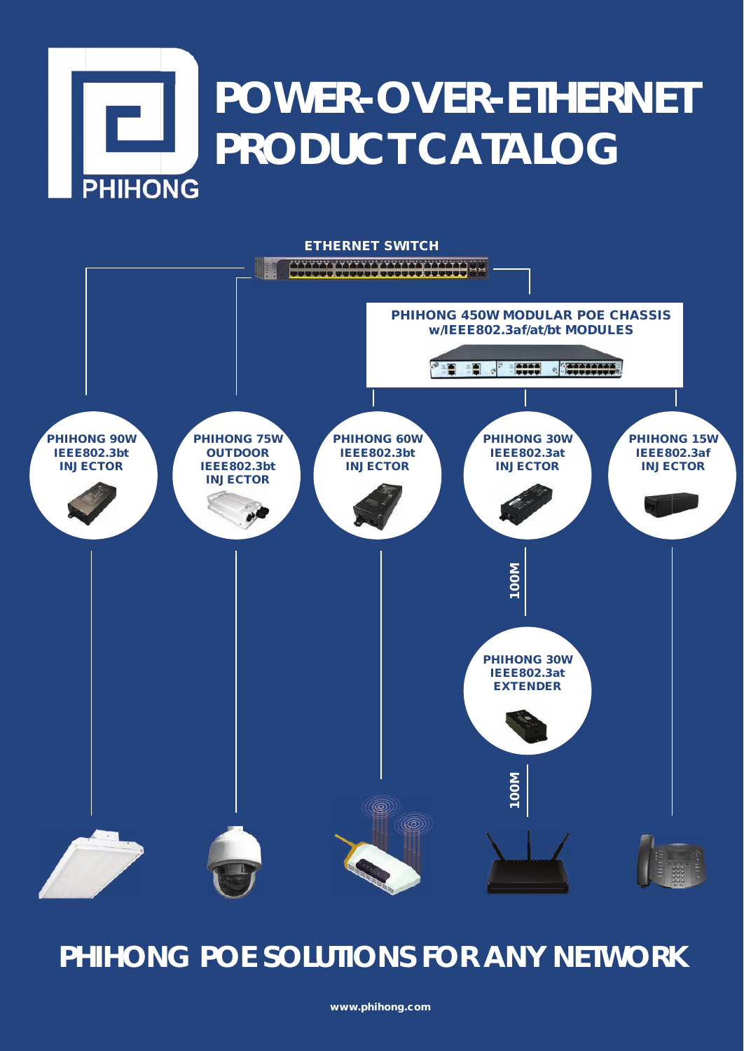# **POWER-OVER-ETHERNET PRODUCT CATALOG PHIHONG**



## **PHIHONG POE SOLUTIONS FOR ANY NETWORK**

www.phihong.com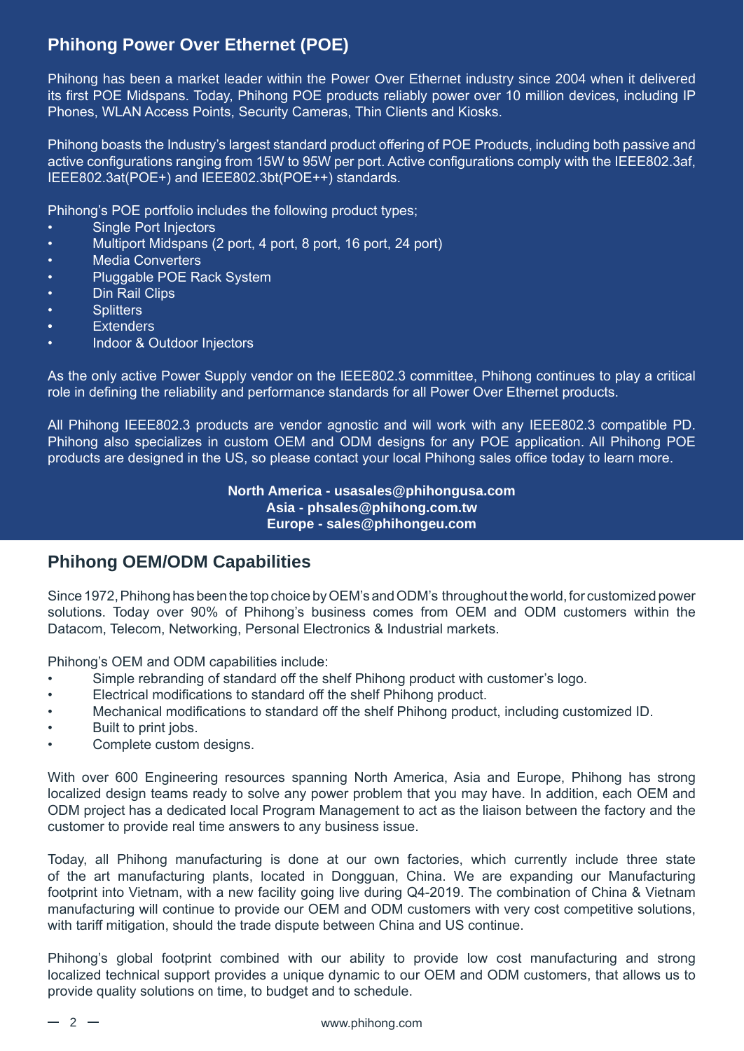#### **Phihong Power Over Ethernet (POE)**

Phihong has been a market leader within the Power Over Ethernet industry since 2004 when it delivered its first POE Midspans. Today, Phihong POE products reliably power over 10 million devices, including IP Phones, WLAN Access Points, Security Cameras, Thin Clients and Kiosks.

Phihong boasts the Industry's largest standard product offering of POE Products, including both passive and active configurations ranging from 15W to 95W per port. Active configurations comply with the IEEE802.3af, IEEE802.3at(POE+) and IEEE802.3bt(POE++) standards.

Phihong's POE portfolio includes the following product types;

- **Single Port Injectors**
- Multiport Midspans (2 port, 4 port, 8 port, 16 port, 24 port)
- Media Converters
- Pluggable POE Rack System
- **Din Rail Clips**
- Splitters
- **Extenders**
- Indoor & Outdoor Injectors

As the only active Power Supply vendor on the IEEE802.3 committee, Phihong continues to play a critical role in defining the reliability and performance standards for all Power Over Ethernet products.

All Phihong IEEE802.3 products are vendor agnostic and will work with any IEEE802.3 compatible PD. Phihong also specializes in custom OEM and ODM designs for any POE application. All Phihong POE products are designed in the US, so please contact your local Phihong sales office today to learn more.

> **North America - usasales@phihongusa.com Asia - phsales@phihong.com.tw Europe - sales@phihongeu.com**

#### **Phihong OEM/ODM Capabilities**

Since 1972, Phihong has been the top choice by OEM's and ODM's throughout the world, for customized power solutions. Today over 90% of Phihong's business comes from OEM and ODM customers within the Datacom, Telecom, Networking, Personal Electronics & Industrial markets.

Phihong's OEM and ODM capabilities include:

- Simple rebranding of standard off the shelf Phihong product with customer's logo.
- Electrical modifications to standard off the shelf Phihong product.
- Mechanical modifications to standard off the shelf Phihong product, including customized ID.
- Built to print jobs.
- Complete custom designs.

With over 600 Engineering resources spanning North America, Asia and Europe, Phihong has strong localized design teams ready to solve any power problem that you may have. In addition, each OEM and ODM project has a dedicated local Program Management to act as the liaison between the factory and the customer to provide real time answers to any business issue.

Today, all Phihong manufacturing is done at our own factories, which currently include three state of the art manufacturing plants, located in Dongguan, China. We are expanding our Manufacturing footprint into Vietnam, with a new facility going live during Q4-2019. The combination of China & Vietnam manufacturing will continue to provide our OEM and ODM customers with very cost competitive solutions, with tariff mitigation, should the trade dispute between China and US continue.

Phihong's global footprint combined with our ability to provide low cost manufacturing and strong localized technical support provides a unique dynamic to our OEM and ODM customers, that allows us to provide quality solutions on time, to budget and to schedule.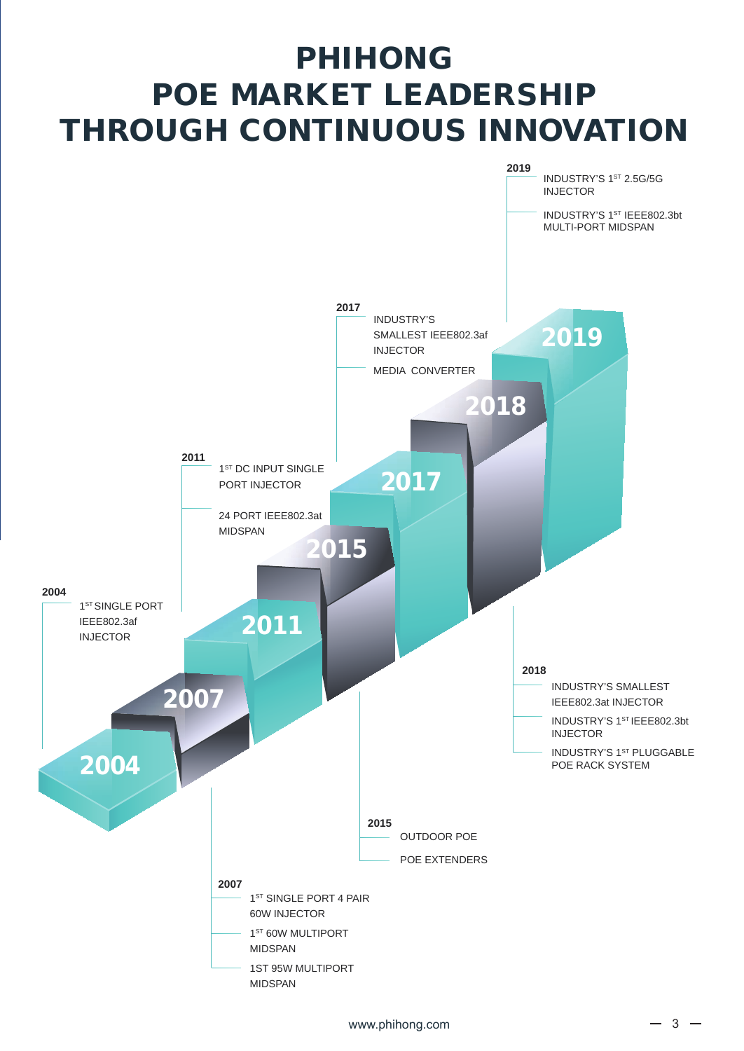# PHIHONG POE MARKET LEADERSHIP THROUGH CONTINUOUS INNOVATION

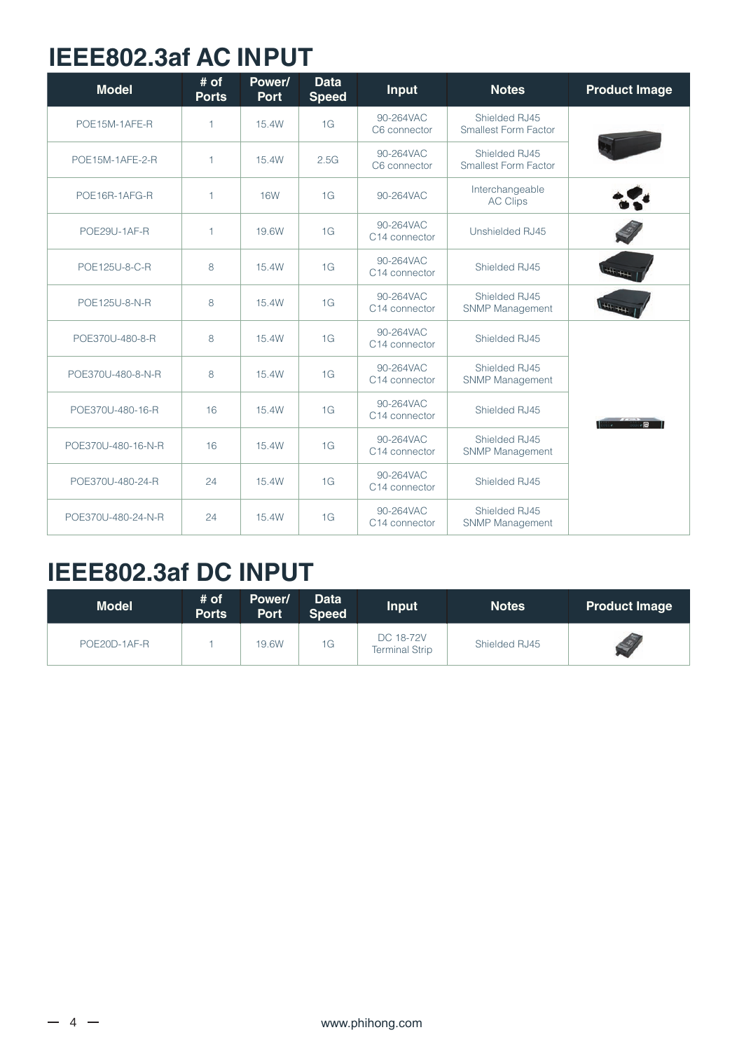#### **IEEE802.3af AC INPUT**

| <b>Model</b>       | # of<br><b>Ports</b> | Power/<br><b>Port</b> | <b>Data</b><br><b>Speed</b> | <b>Input</b>               | <b>Notes</b>                                 | <b>Product Image</b> |
|--------------------|----------------------|-----------------------|-----------------------------|----------------------------|----------------------------------------------|----------------------|
| POE15M-1AFE-R      | 1                    | 15.4W                 | 1G                          | 90-264VAC<br>C6 connector  | Shielded RJ45<br><b>Smallest Form Factor</b> |                      |
| POE15M-1AFE-2-R    | 1                    | 15.4W                 | 2.5G                        | 90-264VAC<br>C6 connector  | Shielded RJ45<br><b>Smallest Form Factor</b> |                      |
| POE16R-1AFG-R      | 1                    | <b>16W</b>            | 1G                          | 90-264VAC                  | Interchangeable<br><b>AC Clips</b>           |                      |
| POE29U-1AF-R       | $\mathbf{1}$         | 19.6W                 | 1G                          | 90-264VAC<br>C14 connector | Unshielded RJ45                              |                      |
| POE125U-8-C-R      | 8                    | 15.4W                 | 1G                          | 90-264VAC<br>C14 connector | Shielded RJ45                                |                      |
| POE125U-8-N-R      | 8                    | 15.4W                 | 1G                          | 90-264VAC<br>C14 connector | Shielded RJ45<br><b>SNMP Management</b>      |                      |
| POE370U-480-8-R    | 8                    | 15.4W                 | 1G                          | 90-264VAC<br>C14 connector | Shielded RJ45                                |                      |
| POE370U-480-8-N-R  | 8                    | 15.4W                 | 1G                          | 90-264VAC<br>C14 connector | Shielded RJ45<br><b>SNMP Management</b>      |                      |
| POE370U-480-16-R   | 16                   | 15.4W                 | 1G                          | 90-264VAC<br>C14 connector | Shielded RJ45                                | $\overline{c}$       |
| POE370U-480-16-N-R | 16                   | 15.4W                 | 1G                          | 90-264VAC<br>C14 connector | Shielded RJ45<br><b>SNMP Management</b>      |                      |
| POE370U-480-24-R   | 24                   | 15.4W                 | 1G                          | 90-264VAC<br>C14 connector | Shielded RJ45                                |                      |
| POE370U-480-24-N-R | 24                   | 15.4W                 | 1G                          | 90-264VAC<br>C14 connector | Shielded RJ45<br>SNMP Management             |                      |

#### **IEEE802.3af DC INPUT**

| <b>Model</b> | # of<br><b>Ports</b> | Power/<br><b>Port</b> | <b>Data</b><br><b>Speed</b> | <b>Input</b>                       | <b>Notes</b>  | <b>Product Image</b> |
|--------------|----------------------|-----------------------|-----------------------------|------------------------------------|---------------|----------------------|
| POE20D-1AF-R |                      | 19.6W                 | 1G                          | DC 18-72V<br><b>Terminal Strip</b> | Shielded RJ45 |                      |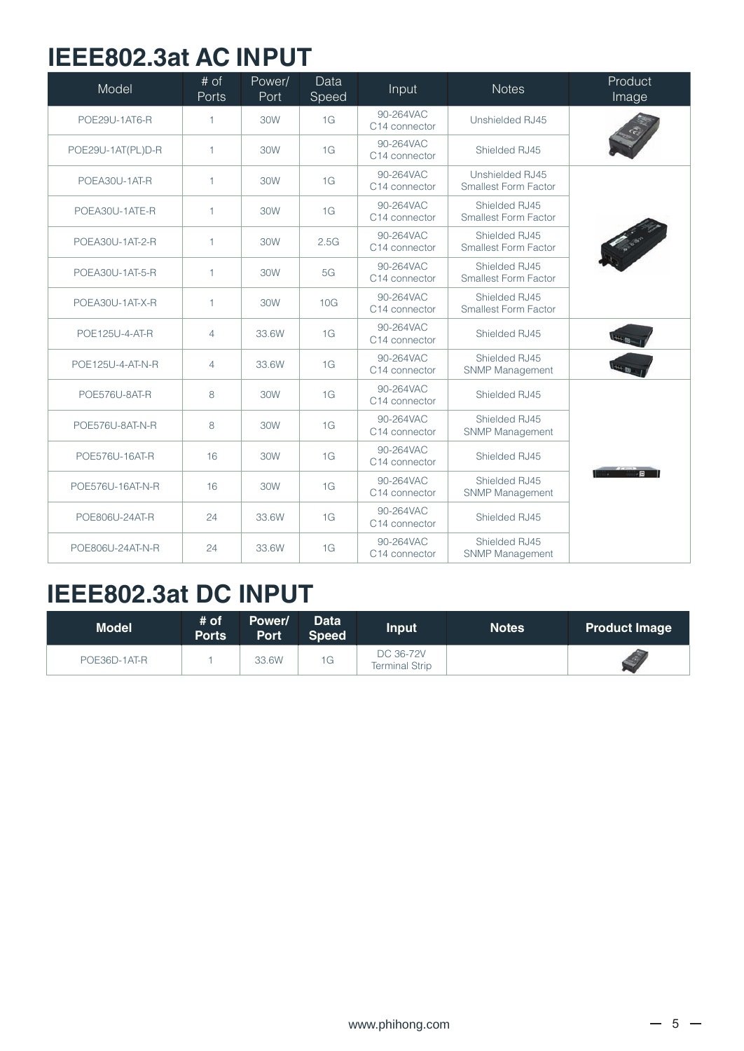#### **IEEE802.3at AC INPUT**

| Model             | # of<br>Ports  | Power/<br>Port | Data<br>Speed | Input                                  | <b>Notes</b>                                   | Product<br>Image |
|-------------------|----------------|----------------|---------------|----------------------------------------|------------------------------------------------|------------------|
| POE29U-1AT6-R     | $\mathbf{1}$   | 30W            | 1G            | 90-264VAC<br>C14 connector             | Unshielded RJ45                                |                  |
| POE29U-1AT(PL)D-R | $\mathbf{1}$   | 30W            | 1G            | 90-264VAC<br>C14 connector             | Shielded RJ45                                  |                  |
| POEA30U-1AT-R     | $\mathbf{1}$   | 30W            | 1G            | 90-264VAC<br>C14 connector             | Unshielded RJ45<br><b>Smallest Form Factor</b> |                  |
| POEA30U-1ATE-R    | $\mathbf{1}$   | 30W            | 1G            | 90-264VAC<br>C14 connector             | Shielded RJ45<br>Smallest Form Factor          |                  |
| POEA30U-1AT-2-R   | $\mathbf{1}$   | 30W            | 2.5G          | 90-264VAC<br>C14 connector             | Shielded RJ45<br><b>Smallest Form Factor</b>   |                  |
| POEA30U-1AT-5-R   | $\mathbf{1}$   | 30W            | 5G            | 90-264VAC<br>C <sub>14</sub> connector | Shielded RJ45<br>Smallest Form Factor          |                  |
| POEA30U-1AT-X-R   | $\mathbf{1}$   | 30W            | 10G           | 90-264VAC<br>C14 connector             | Shielded RJ45<br><b>Smallest Form Factor</b>   |                  |
| POE125U-4-AT-R    | $\overline{4}$ | 33.6W          | 1G            | 90-264VAC<br>C14 connector             | Shielded RJ45                                  |                  |
| POE125U-4-AT-N-R  | $\overline{4}$ | 33.6W          | 1G            | 90-264VAC<br>C14 connector             | Shielded RJ45<br><b>SNMP Management</b>        |                  |
| POE576U-8AT-R     | 8              | 30W            | 1G            | 90-264VAC<br>C14 connector             | Shielded RJ45                                  |                  |
| POE576U-8AT-N-R   | 8              | 30W            | 1G            | 90-264VAC<br>C14 connector             | Shielded RJ45<br><b>SNMP Management</b>        |                  |
| POE576U-16AT-R    | 16             | 30W            | 1G            | 90-264VAC<br>C14 connector             | Shielded RJ45                                  |                  |
| POE576U-16AT-N-R  | 16             | 30W            | 1G            | 90-264VAC<br>C14 connector             | Shielded RJ45<br><b>SNMP Management</b>        |                  |
| POE806U-24AT-R    | 24             | 33.6W          | 1G            | 90-264VAC<br>C14 connector             | Shielded RJ45                                  |                  |
| POE806U-24AT-N-R  | 24             | 33.6W          | 1G            | 90-264VAC<br>C14 connector             | Shielded RJ45<br>SNMP Management               |                  |

#### **IEEE802.3at DC INPUT**

| <b>Model</b> | # of<br><b>Ports</b> | Power/<br><b>Port</b> | <b>Data</b><br><b>Speed</b> | <b>Input</b>                       | <b>Notes</b> | <b>Product Image</b> |
|--------------|----------------------|-----------------------|-----------------------------|------------------------------------|--------------|----------------------|
| POE36D-1AT-R |                      | 33.6W                 | 1G                          | DC 36-72V<br><b>Terminal Strip</b> |              |                      |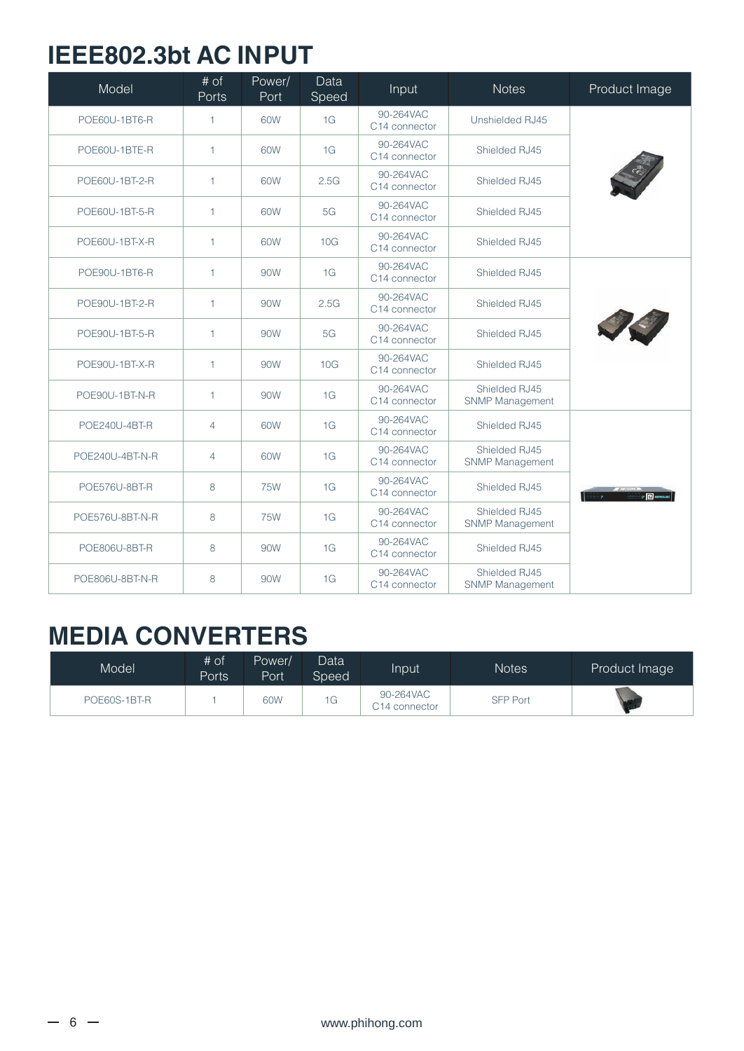#### **IEEE802.3bt AC INPUT**

| Model                | # of<br>Ports  | Power/<br>Port | Data<br>Speed | Input                                  | <b>Notes</b>                            | Product Image  |
|----------------------|----------------|----------------|---------------|----------------------------------------|-----------------------------------------|----------------|
| POE60U-1BT6-R        | 1              | 60W            | 1G            | 90-264VAC<br>C14 connector             | Unshielded RJ45                         |                |
| POE60U-1BTE-R        | 1              | 60W            | 1G            | 90-264VAC<br>C <sub>14</sub> connector | Shielded RJ45                           |                |
| POE60U-1BT-2-R       | $\mathbf{1}$   | 60W            | 2.5G          | 90-264VAC<br>C14 connector             | Shielded RJ45                           |                |
| POE60U-1BT-5-R       | $\mathbf{1}$   | 60W            | 5G            | 90-264VAC<br>C14 connector             | Shielded RJ45                           |                |
| POE60U-1BT-X-R       | $\mathbf{1}$   | 60W            | 10G           | 90-264VAC<br>C14 connector             | Shielded RJ45                           |                |
| POE90U-1BT6-R        | 1              | 90W            | 1G            | 90-264VAC<br>C14 connector             | Shielded RJ45                           |                |
| POE90U-1BT-2-R       | 1              | 90W            | 2.5G          | 90-264VAC<br>C14 connector             | Shielded RJ45                           |                |
| POE90U-1BT-5-R       | 1              | 90W            | 5G            | 90-264VAC<br>C14 connector             | Shielded RJ45                           |                |
| POE90U-1BT-X-R       | 1              | 90W            | 10G           | 90-264VAC<br>C14 connector             | Shielded RJ45                           |                |
| POE90U-1BT-N-R       | $\mathbf{1}$   | 90W            | 1G            | 90-264VAC<br>C14 connector             | Shielded RJ45<br>SNMP Management        |                |
| POE240U-4BT-R        | $\overline{4}$ | 60W            | 1G            | 90-264VAC<br>C14 connector             | Shielded RJ45                           |                |
| POE240U-4BT-N-R      | $\overline{4}$ | 60W            | 1G            | 90-264VAC<br>C14 connector             | Shielded RJ45<br><b>SNMP Management</b> |                |
| POE576U-8BT-R        | 8              | <b>75W</b>     | 1G            | 90-264VAC<br>C14 connector             | Shielded RJ45                           | $\overline{B}$ |
| POE576U-8BT-N-R      | 8              | <b>75W</b>     | 1G            | 90-264VAC<br>C14 connector             | Shielded RJ45<br><b>SNMP Management</b> |                |
| <b>POE806U-8BT-R</b> | 8              | 90W            | 1G            | 90-264VAC<br>C14 connector             | Shielded RJ45                           |                |
| POE806U-8BT-N-R      | 8              | 90W            | 1G            | 90-264VAC<br>C14 connector             | Shielded RJ45<br>SNMP Management        |                |

#### **MEDIA CONVERTERS**

| Model        | # of<br>Ports | Power/<br>Port | Data<br>Speed' | Input                                  | <b>Notes</b>    | Product Image |
|--------------|---------------|----------------|----------------|----------------------------------------|-----------------|---------------|
| POE60S-1BT-R |               | 60W            | G              | 90-264VAC<br>C <sub>14</sub> connector | <b>SFP Port</b> |               |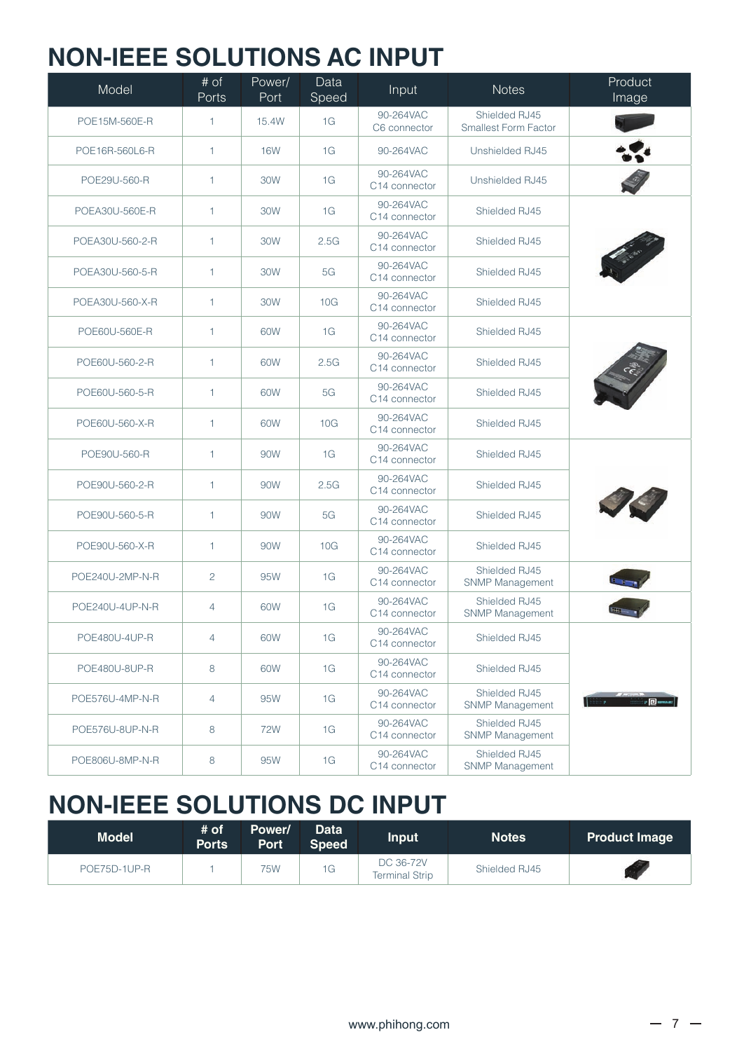#### **NON-IEEE SOLUTIONS AC INPUT**

| Model           | $\overline{\# \circ f}$<br>Ports | Power/<br>Port | Data<br>Speed | Input                                  | <b>Notes</b>                                 | Product<br>Image             |
|-----------------|----------------------------------|----------------|---------------|----------------------------------------|----------------------------------------------|------------------------------|
| POE15M-560E-R   | $\mathbf{1}$                     | 15.4W          | 1G            | 90-264VAC<br>C6 connector              | Shielded RJ45<br><b>Smallest Form Factor</b> |                              |
| POE16R-560L6-R  | $\mathbf{1}$                     | <b>16W</b>     | 1G            | 90-264VAC                              | Unshielded RJ45                              |                              |
| POE29U-560-R    | $\mathbf{1}$                     | 30W            | 1G            | 90-264VAC<br>C14 connector             | Unshielded RJ45                              |                              |
| POEA30U-560E-R  | $\mathbf{1}$                     | 30W            | 1G            | 90-264VAC<br>C14 connector             | Shielded RJ45                                |                              |
| POEA30U-560-2-R | $\mathbf{1}$                     | 30W            | 2.5G          | 90-264VAC<br>C <sub>14</sub> connector | Shielded RJ45                                |                              |
| POEA30U-560-5-R | $\mathbf{1}$                     | 30W            | 5G            | 90-264VAC<br>C14 connector             | Shielded RJ45                                |                              |
| POEA30U-560-X-R | $\mathbf{1}$                     | 30W            | 10G           | 90-264VAC<br>C14 connector             | Shielded RJ45                                |                              |
| POE60U-560E-R   | $\mathbf{1}$                     | 60W            | 1G            | 90-264VAC<br>C14 connector             | Shielded RJ45                                |                              |
| POE60U-560-2-R  | $\mathbf{1}$                     | 60W            | 2.5G          | 90-264VAC<br>C <sub>14</sub> connector | Shielded RJ45                                |                              |
| POE60U-560-5-R  | $\mathbf{1}$                     | 60W            | 5G            | 90-264VAC<br>C14 connector             | Shielded RJ45                                |                              |
| POE60U-560-X-R  | $\mathbf{1}$                     | 60W            | 10G           | 90-264VAC<br>C14 connector             | Shielded RJ45                                |                              |
| POE90U-560-R    | $\mathbf{1}$                     | 90W            | 1G            | 90-264VAC<br>C14 connector             | Shielded RJ45                                |                              |
| POE90U-560-2-R  | $\mathbf{1}$                     | 90W            | 2.5G          | 90-264VAC<br>C14 connector             | Shielded RJ45                                |                              |
| POE90U-560-5-R  | $\mathbf{1}$                     | 90W            | 5G            | 90-264VAC<br>C14 connector             | Shielded RJ45                                |                              |
| POE90U-560-X-R  | $\mathbf{1}$                     | 90W            | 10G           | 90-264VAC<br>C14 connector             | Shielded RJ45                                |                              |
| POE240U-2MP-N-R | $\overline{c}$                   | 95W            | 1G            | 90-264VAC<br>C14 connector             | Shielded RJ45<br>SNMP Management             |                              |
| POE240U-4UP-N-R | $\overline{4}$                   | 60W            | 1G            | 90-264VAC<br>C <sub>14</sub> connector | Shielded RJ45<br><b>SNMP Management</b>      |                              |
| POE480U-4UP-R   | $\overline{4}$                   | 60W            | 1G            | 90-264VAC<br>C14 connector             | Shielded RJ45                                |                              |
| POE480U-8UP-R   | 8                                | 60W            | 1G            | 90-264VAC<br>C14 connector             | Shielded RJ45                                |                              |
| POE576U-4MP-N-R | $\overline{4}$                   | 95W            | 1G            | 90-264VAC<br>C14 connector             | Shielded RJ45<br><b>SNMP Management</b>      | <b>Bitter and State Down</b> |
| POE576U-8UP-N-R | 8                                | 72W            | 1G            | 90-264VAC<br>C14 connector             | Shielded RJ45<br><b>SNMP Management</b>      |                              |
| POE806U-8MP-N-R | 8                                | 95W            | 1G            | 90-264VAC<br>C14 connector             | Shielded RJ45<br>SNMP Management             |                              |

#### **NON-IEEE SOLUTIONS DC INPUT**

| <b>Model</b> | # of<br><b>Ports</b> | Power/<br><b>Port</b> | <b>Data</b><br><b>Speed</b> | <b>Input</b>                       | <b>Notes</b>  | <b>Product Image</b> |
|--------------|----------------------|-----------------------|-----------------------------|------------------------------------|---------------|----------------------|
| POE75D-1UP-R |                      | 75W                   | 1G                          | DC 36-72V<br><b>Terminal Strip</b> | Shielded RJ45 |                      |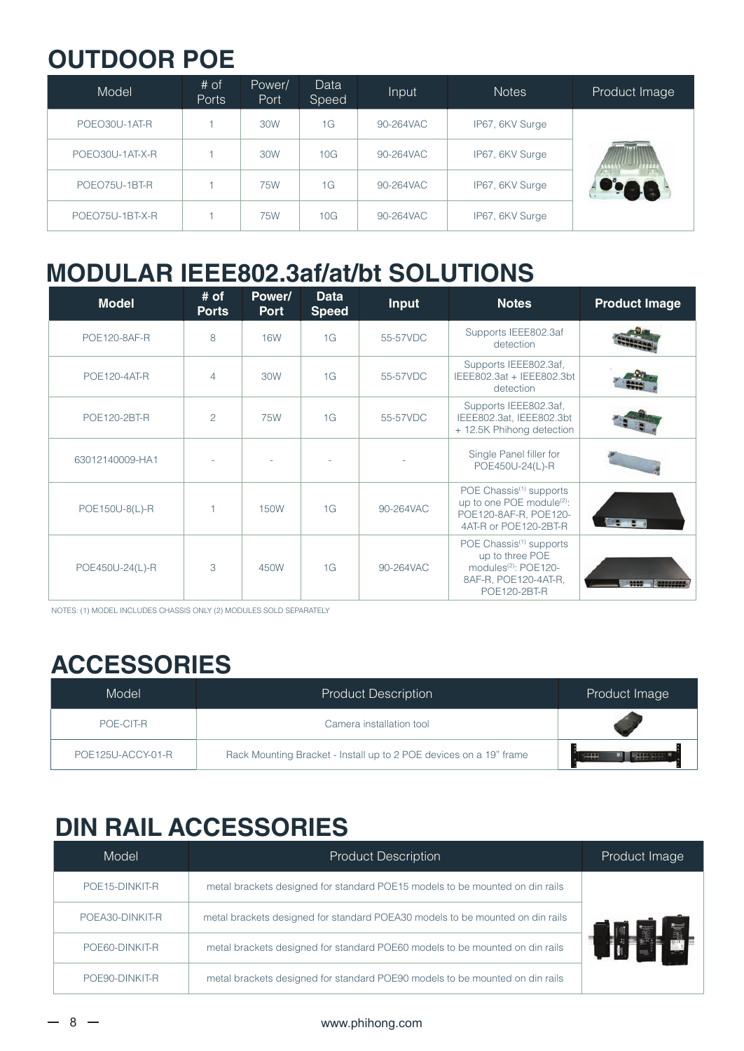#### **OUTDOOR POE**

| Model           | # of<br><b>Ports</b> | Power/<br><b>Port</b> | Data<br>Speed | Input     | <b>Notes</b>    | Product Image |
|-----------------|----------------------|-----------------------|---------------|-----------|-----------------|---------------|
| POEO30U-1AT-R   |                      | 30W                   | 1G            | 90-264VAC | IP67, 6KV Surge |               |
| POEO30U-1AT-X-R |                      | 30W                   | 10G           | 90-264VAC | IP67, 6KV Surge |               |
| POEO75U-1BT-R   |                      | 75W                   | 1G            | 90-264VAC | IP67, 6KV Surge |               |
| POEO75U-1BT-X-R |                      | 75W                   | 10G           | 90-264VAC | IP67, 6KV Surge |               |

#### **MODULAR IEEE802.3af/at/bt SOLUTIONS**

| <b>Model</b>        | $#$ of<br><b>Ports</b> | Power/<br><b>Port</b> | <b>Data</b><br><b>Speed</b> | <b>Input</b> | <b>Notes</b>                                                                                                                       | <b>Product Image</b> |
|---------------------|------------------------|-----------------------|-----------------------------|--------------|------------------------------------------------------------------------------------------------------------------------------------|----------------------|
| <b>POE120-8AF-R</b> | 8                      | <b>16W</b>            | 1G                          | 55-57VDC     | Supports IEEE802.3af<br>detection                                                                                                  |                      |
| <b>POE120-4AT-R</b> | 4                      | 30W                   | 1G                          | 55-57VDC     | Supports IEEE802.3af,<br>IEEE802.3at + IEEE802.3bt<br>detection                                                                    |                      |
| POE120-2BT-R        | $\overline{c}$         | <b>75W</b>            | 1G                          | 55-57VDC     | Supports IEEE802.3af,<br>IEEE802.3at, IEEE802.3bt<br>+ 12.5K Phihong detection                                                     |                      |
| 63012140009-HA1     |                        |                       |                             |              | Single Panel filler for<br>POE450U-24(L)-R                                                                                         |                      |
| POE150U-8(L)-R      |                        | <b>150W</b>           | 1G                          | 90-264VAC    | POE Chassis <sup>(1)</sup> supports<br>up to one POE module <sup>(2)</sup> :<br>POE120-8AF-R, POE120-<br>4AT-R or POE120-2BT-R     |                      |
| POE450U-24(L)-R     | 3                      | 450W                  | 1G                          | 90-264VAC    | POE Chassis <sup>(1)</sup> supports<br>up to three POE<br>modules <sup>(2)</sup> : POE120-<br>8AF-R, POE120-4AT-R,<br>POE120-2BT-R |                      |

NOTES: (1) MODEL INCLUDES CHASSIS ONLY (2) MODULES SOLD SEPARATELY

### **ACCESSORIES**

| Model             | <b>Product Description</b>                                         | Product Image |
|-------------------|--------------------------------------------------------------------|---------------|
| POF-CIT-R         | Camera installation tool                                           |               |
| POE125U-ACCY-01-R | Rack Mounting Bracket - Install up to 2 POE devices on a 19" frame | <b>THE</b>    |

### **DIN RAIL ACCESSORIES**

| Model           | <b>Product Description</b>                                                    | Product Image |
|-----------------|-------------------------------------------------------------------------------|---------------|
| POE15-DINKIT-R  | metal brackets designed for standard POE15 models to be mounted on din rails  |               |
| POEA30-DINKIT-R | metal brackets designed for standard POEA30 models to be mounted on din rails |               |
| POE60-DINKIT-R  | metal brackets designed for standard POE60 models to be mounted on din rails  |               |
| POE90-DINKIT-R  | metal brackets designed for standard POE90 models to be mounted on din rails  |               |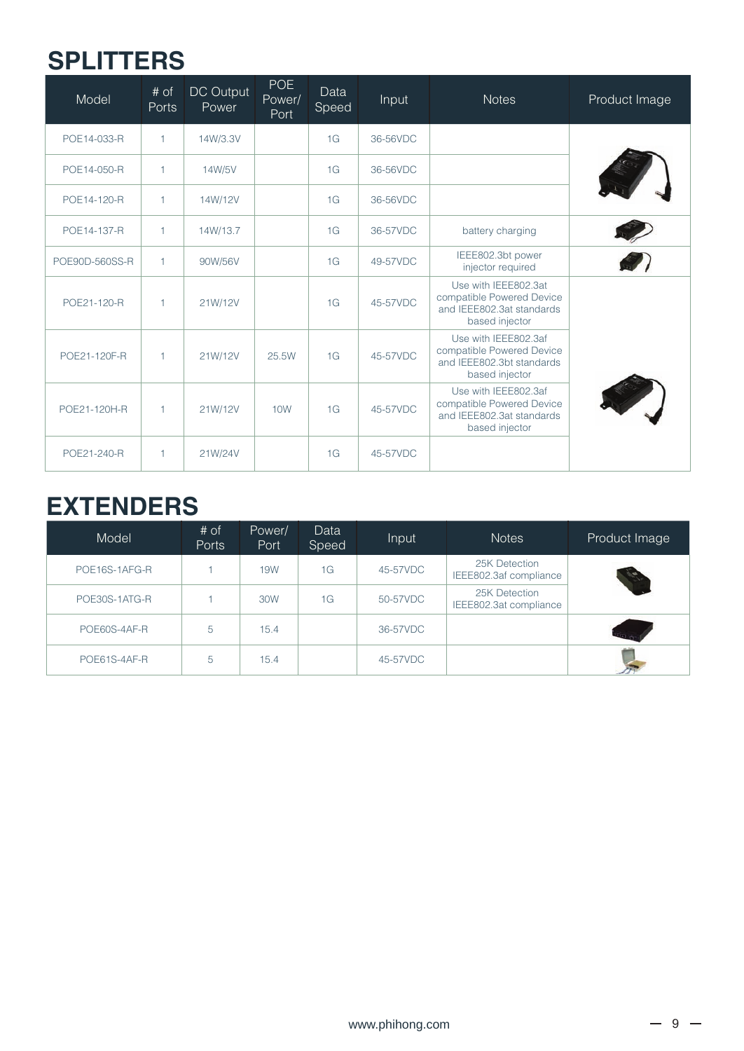### **SPLITTERS**

| Model          | # of<br><b>Ports</b> | DC Output<br>Power | <b>POE</b><br>Power/<br>Port | Data<br>Speed | Input    | <b>Notes</b>                                                                                     | Product Image |
|----------------|----------------------|--------------------|------------------------------|---------------|----------|--------------------------------------------------------------------------------------------------|---------------|
| POE14-033-R    | $\mathbf{1}$         | 14W/3.3V           |                              | 1G            | 36-56VDC |                                                                                                  |               |
| POE14-050-R    | $\mathbf{1}$         | 14W/5V             |                              | 1G            | 36-56VDC |                                                                                                  |               |
| POE14-120-R    | $\mathbf{1}$         | 14W/12V            |                              | 1G            | 36-56VDC |                                                                                                  |               |
| POE14-137-R    | $\mathbf{1}$         | 14W/13.7           |                              | 1G            | 36-57VDC | battery charging                                                                                 |               |
| POE90D-560SS-R | $\mathbf{1}$         | 90W/56V            |                              | 1G            | 49-57VDC | IEEE802.3bt power<br>injector required                                                           |               |
| POE21-120-R    | $\mathbf{1}$         | 21W/12V            |                              | 1G            | 45-57VDC | Use with IEEE802.3at<br>compatible Powered Device<br>and IEEE802.3at standards<br>based injector |               |
| POE21-120F-R   | $\mathbf{1}$         | 21W/12V            | 25.5W                        | 1G            | 45-57VDC | Use with IEEE802.3af<br>compatible Powered Device<br>and IEEE802.3bt standards<br>based injector |               |
| POE21-120H-R   | $\mathbf{1}$         | 21W/12V            | 10W                          | 1G            | 45-57VDC | Use with IEEE802.3af<br>compatible Powered Device<br>and IEEE802.3at standards<br>based injector |               |
| POE21-240-R    | $\mathbf{1}$         | 21W/24V            |                              | 1G            | 45-57VDC |                                                                                                  |               |

### **EXTENDERS**

| Model         | # of<br><b>Ports</b> | Power/<br>Port | Data<br>Speed | Input    | <b>Notes</b>                            | Product Image |
|---------------|----------------------|----------------|---------------|----------|-----------------------------------------|---------------|
| POE16S-1AFG-R |                      | 19W            | 1G            | 45-57VDC | 25K Detection<br>IEEE802.3af compliance |               |
| POE30S-1ATG-R |                      | 30W            | 1G            | 50-57VDC | 25K Detection<br>IEEE802.3at compliance |               |
| POE60S-4AF-R  | 5                    | 15.4           |               | 36-57VDC |                                         |               |
| POE61S-4AF-R  | 5                    | 15.4           |               | 45-57VDC |                                         |               |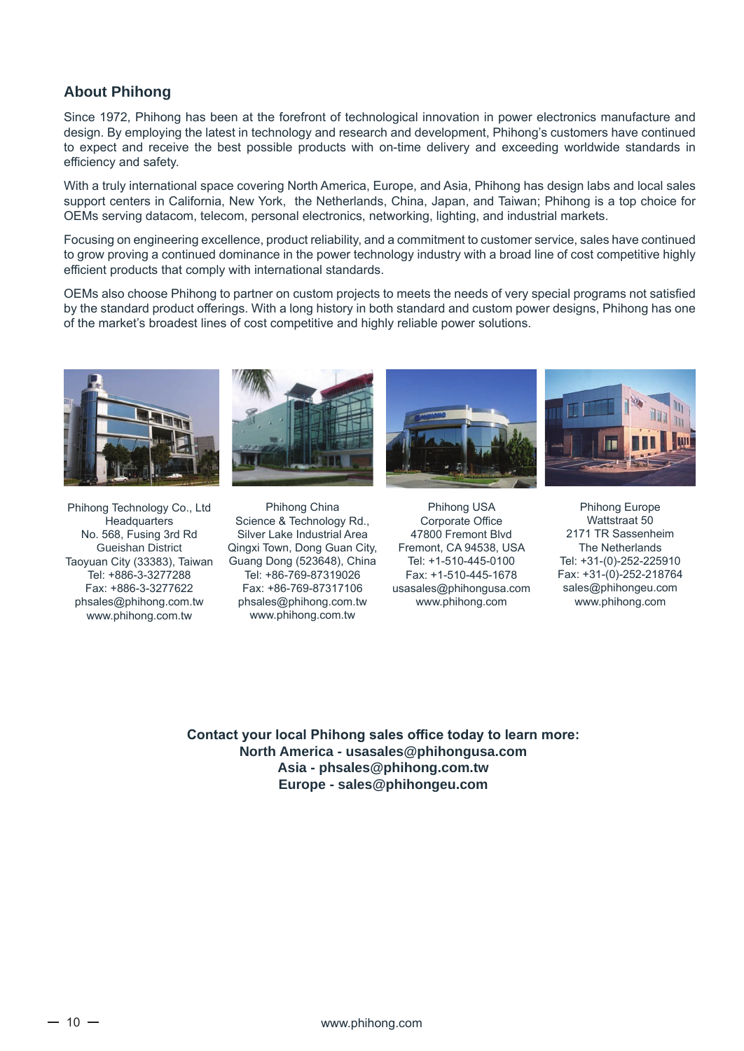#### **About Phihong**

Since 1972, Phihong has been at the forefront of technological innovation in power electronics manufacture and design. By employing the latest in technology and research and development, Phihong's customers have continued to expect and receive the best possible products with on-time delivery and exceeding worldwide standards in efficiency and safety.

With a truly international space covering North America, Europe, and Asia, Phihong has design labs and local sales support centers in California, New York, the Netherlands, China, Japan, and Taiwan; Phihong is a top choice for OEMs serving datacom, telecom, personal electronics, networking, lighting, and industrial markets.

Focusing on engineering excellence, product reliability, and a commitment to customer service, sales have continued to grow proving a continued dominance in the power technology industry with a broad line of cost competitive highly efficient products that comply with international standards.

OEMs also choose Phihong to partner on custom projects to meets the needs of very special programs not satisfied by the standard product offerings. With a long history in both standard and custom power designs, Phihong has one of the market's broadest lines of cost competitive and highly reliable power solutions.



Phihong Technology Co., Ltd **Headquarters** No. 568, Fusing 3rd Rd Gueishan District Taoyuan City (33383), Taiwan Tel: +886-3-3277288 Fax: +886-3-3277622 phsales@phihong.com.tw www.phihong.com.tw



Phihong China Science & Technology Rd., Silver Lake Industrial Area Qingxi Town, Dong Guan City, Guang Dong (523648), China Tel: +86-769-87319026 Fax: +86-769-87317106 phsales@phihong.com.tw www.phihong.com.tw





Phihong USA Corporate Office 47800 Fremont Blvd Fremont, CA 94538, USA Tel: +1-510-445-0100 Fax: +1-510-445-1678 usasales@phihongusa.com www.phihong.com

Phihong Europe Wattstraat 50 2171 TR Sassenheim The Netherlands Tel: +31-(0)-252-225910 Fax: +31-(0)-252-218764 sales@phihongeu.com www.phihong.com

**Contact your local Phihong sales office today to learn more: North America - usasales@phihongusa.com Asia - phsales@phihong.com.tw Europe - sales@phihongeu.com**